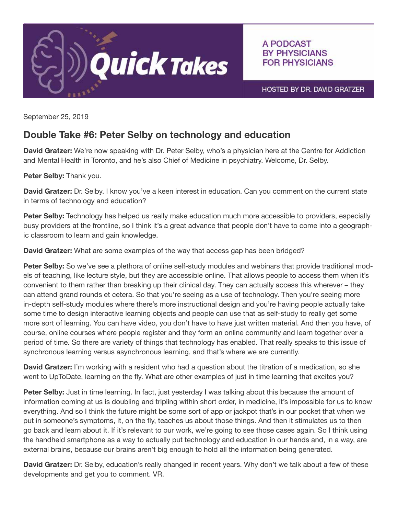

A PODCAST **BY PHYSICIANS FOR PHYSICIANS** 

HOSTED BY DR. DAVID GRATZER

September 25, 2019

## Double Take #6: Peter Selby on technology and education

David Gratzer: We're now speaking with Dr. Peter Selby, who's a physician here at the Centre for Addiction and Mental Health in Toronto, and he's also Chief of Medicine in psychiatry. Welcome, Dr. Selby.

Peter Selby: Thank you.

David Gratzer: Dr. Selby. I know you've a keen interest in education. Can you comment on the current state in terms of technology and education?

Peter Selby: Technology has helped us really make education much more accessible to providers, especially busy providers at the frontline, so I think it's a great advance that people don't have to come into a geographic classroom to learn and gain knowledge.

**David Gratzer:** What are some examples of the way that access gap has been bridged?

Peter Selby: So we've see a plethora of online self-study modules and webinars that provide traditional models of teaching, like lecture style, but they are accessible online. That allows people to access them when it's convenient to them rather than breaking up their clinical day. They can actually access this wherever – they can attend grand rounds et cetera. So that you're seeing as a use of technology. Then you're seeing more in-depth self-study modules where there's more instructional design and you're having people actually take some time to design interactive learning objects and people can use that as self-study to really get some more sort of learning. You can have video, you don't have to have just written material. And then you have, of course, online courses where people register and they form an online community and learn together over a period of time. So there are variety of things that technology has enabled. That really speaks to this issue of synchronous learning versus asynchronous learning, and that's where we are currently.

**David Gratzer:** I'm working with a resident who had a question about the titration of a medication, so she went to UpToDate, learning on the fly. What are other examples of just in time learning that excites you?

**Peter Selby:** Just in time learning. In fact, just yesterday I was talking about this because the amount of information coming at us is doubling and tripling within short order, in medicine, it's impossible for us to know everything. And so I think the future might be some sort of app or jackpot that's in our pocket that when we put in someone's symptoms, it, on the fly, teaches us about those things. And then it stimulates us to then go back and learn about it. If it's relevant to our work, we're going to see those cases again. So I think using the handheld smartphone as a way to actually put technology and education in our hands and, in a way, are external brains, because our brains aren't big enough to hold all the information being generated.

David Gratzer: Dr. Selby, education's really changed in recent years. Why don't we talk about a few of these developments and get you to comment. VR.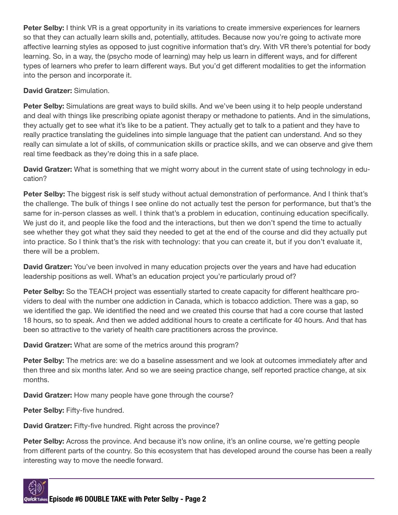Peter Selby: I think VR is a great opportunity in its variations to create immersive experiences for learners so that they can actually learn skills and, potentially, attitudes. Because now you're going to activate more affective learning styles as opposed to just cognitive information that's dry. With VR there's potential for body learning. So, in a way, the (psycho mode of learning) may help us learn in different ways, and for different types of learners who prefer to learn different ways. But you'd get different modalities to get the information into the person and incorporate it.

David Gratzer: Simulation.

Peter Selby: Simulations are great ways to build skills. And we've been using it to help people understand and deal with things like prescribing opiate agonist therapy or methadone to patients. And in the simulations, they actually get to see what it's like to be a patient. They actually get to talk to a patient and they have to really practice translating the guidelines into simple language that the patient can understand. And so they really can simulate a lot of skills, of communication skills or practice skills, and we can observe and give them real time feedback as they're doing this in a safe place.

David Gratzer: What is something that we might worry about in the current state of using technology in education?

Peter Selby: The biggest risk is self study without actual demonstration of performance. And I think that's the challenge. The bulk of things I see online do not actually test the person for performance, but that's the same for in-person classes as well. I think that's a problem in education, continuing education specifically. We just do it, and people like the food and the interactions, but then we don't spend the time to actually see whether they got what they said they needed to get at the end of the course and did they actually put into practice. So I think that's the risk with technology: that you can create it, but if you don't evaluate it, there will be a problem.

**David Gratzer:** You've been involved in many education projects over the years and have had education leadership positions as well. What's an education project you're particularly proud of?

Peter Selby: So the TEACH project was essentially started to create capacity for different healthcare providers to deal with the number one addiction in Canada, which is tobacco addiction. There was a gap, so we identified the gap. We identified the need and we created this course that had a core course that lasted 18 hours, so to speak. And then we added additional hours to create a certificate for 40 hours. And that has been so attractive to the variety of health care practitioners across the province.

David Gratzer: What are some of the metrics around this program?

Peter Selby: The metrics are: we do a baseline assessment and we look at outcomes immediately after and then three and six months later. And so we are seeing practice change, self reported practice change, at six months.

David Gratzer: How many people have gone through the course?

Peter Selby: Fifty-five hundred.

David Gratzer: Fifty-five hundred. Right across the province?

**Peter Selby:** Across the province. And because it's now online, it's an online course, we're getting people from different parts of the country. So this ecosystem that has developed around the course has been a really interesting way to move the needle forward.